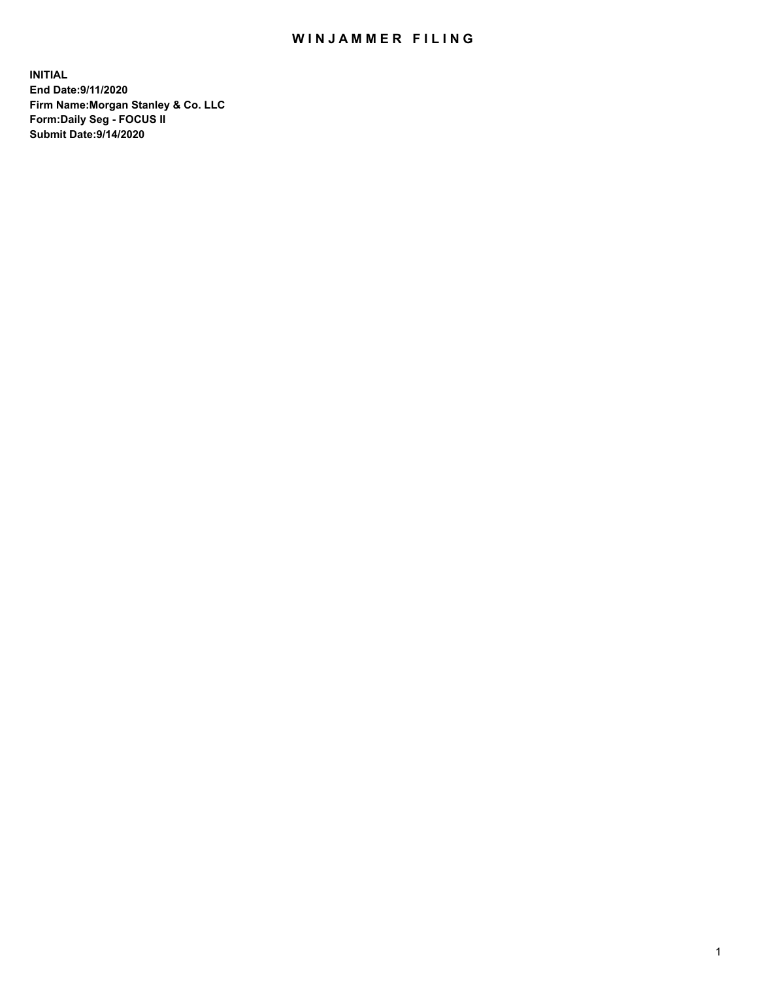## WIN JAMMER FILING

**INITIAL End Date:9/11/2020 Firm Name:Morgan Stanley & Co. LLC Form:Daily Seg - FOCUS II Submit Date:9/14/2020**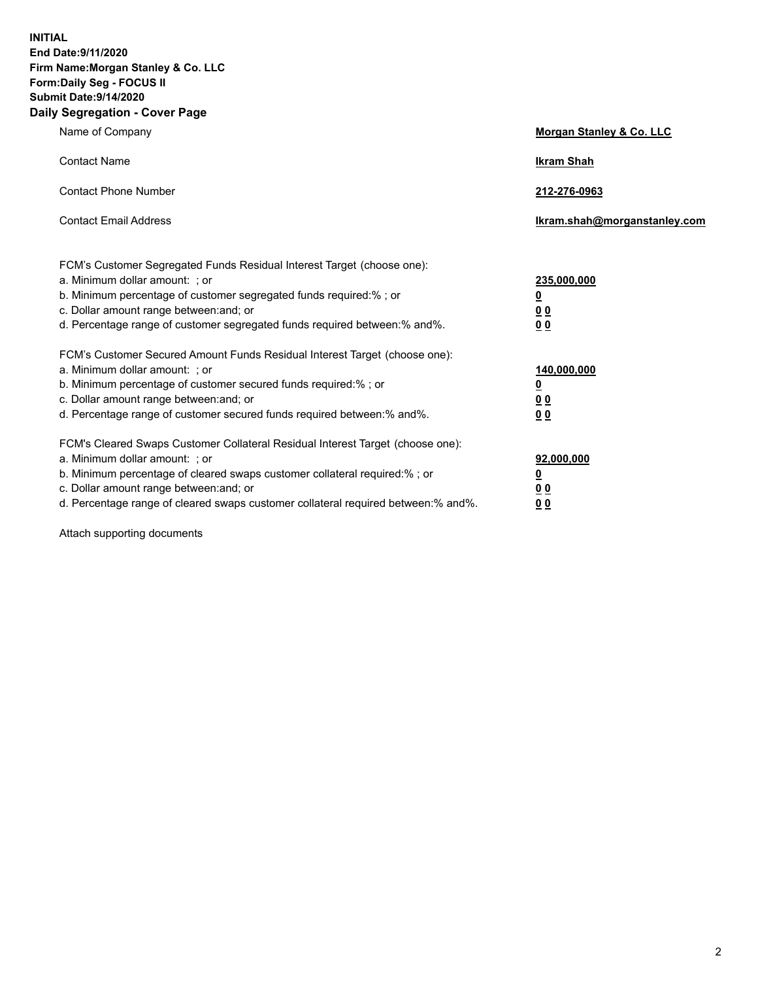**INITIAL End Date:9/11/2020 Firm Name:Morgan Stanley & Co. LLC Form:Daily Seg - FOCUS II Submit Date:9/14/2020 Daily Segregation - Cover Page**

| Name of Company                                                                                                                                                                                                                                                                                                                | <b>Morgan Stanley &amp; Co. LLC</b>                     |
|--------------------------------------------------------------------------------------------------------------------------------------------------------------------------------------------------------------------------------------------------------------------------------------------------------------------------------|---------------------------------------------------------|
| <b>Contact Name</b>                                                                                                                                                                                                                                                                                                            | <b>Ikram Shah</b>                                       |
| <b>Contact Phone Number</b>                                                                                                                                                                                                                                                                                                    | 212-276-0963                                            |
| <b>Contact Email Address</b>                                                                                                                                                                                                                                                                                                   | Ikram.shah@morganstanley.com                            |
| FCM's Customer Segregated Funds Residual Interest Target (choose one):<br>a. Minimum dollar amount: ; or<br>b. Minimum percentage of customer segregated funds required:% ; or<br>c. Dollar amount range between: and; or                                                                                                      | 235,000,000<br><u>0</u><br><u>00</u>                    |
| d. Percentage range of customer segregated funds required between:% and%.<br>FCM's Customer Secured Amount Funds Residual Interest Target (choose one):                                                                                                                                                                        | 0 <sup>0</sup>                                          |
| a. Minimum dollar amount: ; or<br>b. Minimum percentage of customer secured funds required:%; or<br>c. Dollar amount range between: and; or<br>d. Percentage range of customer secured funds required between: % and %.                                                                                                        | 140,000,000<br><u>0</u><br><u>0 0</u><br>0 <sub>0</sub> |
| FCM's Cleared Swaps Customer Collateral Residual Interest Target (choose one):<br>a. Minimum dollar amount: ; or<br>b. Minimum percentage of cleared swaps customer collateral required:% ; or<br>c. Dollar amount range between: and; or<br>d. Percentage range of cleared swaps customer collateral required between:% and%. | 92,000,000<br><u>0</u><br>0 Q<br>0 <sub>0</sub>         |

Attach supporting documents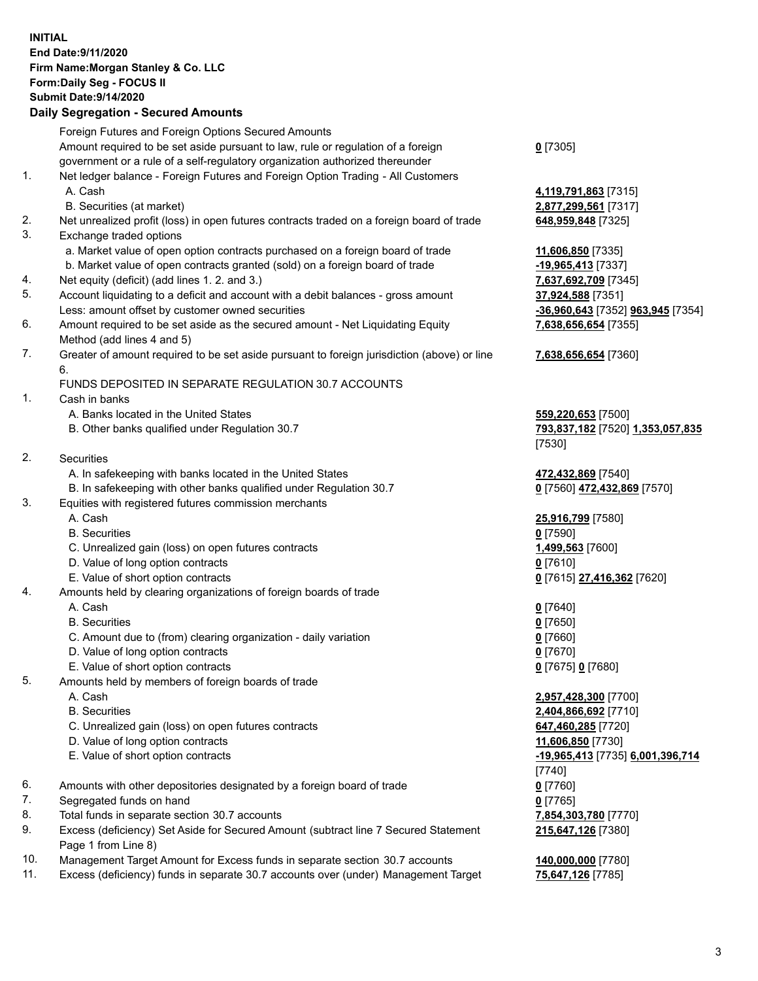## **INITIAL End Date:9/11/2020 Firm Name:Morgan Stanley & Co. LLC Form:Daily Seg - FOCUS II Submit Date:9/14/2020**

## **Daily Segregation - Secured Amounts**

|     | Foreign Futures and Foreign Options Secured Amounts                                                        |                                                       |
|-----|------------------------------------------------------------------------------------------------------------|-------------------------------------------------------|
|     | Amount required to be set aside pursuant to law, rule or regulation of a foreign                           | $0$ [7305]                                            |
|     | government or a rule of a self-regulatory organization authorized thereunder                               |                                                       |
| 1.  | Net ledger balance - Foreign Futures and Foreign Option Trading - All Customers                            |                                                       |
|     | A. Cash                                                                                                    | 4,119,791,863 [7315]                                  |
|     | B. Securities (at market)                                                                                  | 2,877,299,561 [7317]                                  |
| 2.  | Net unrealized profit (loss) in open futures contracts traded on a foreign board of trade                  | 648,959,848 [7325]                                    |
| 3.  | Exchange traded options                                                                                    |                                                       |
|     | a. Market value of open option contracts purchased on a foreign board of trade                             | 11,606,850 [7335]                                     |
|     | b. Market value of open contracts granted (sold) on a foreign board of trade                               | -19,965,413 [7337]                                    |
| 4.  | Net equity (deficit) (add lines 1. 2. and 3.)                                                              | 7,637,692,709 [7345]                                  |
| 5.  | Account liquidating to a deficit and account with a debit balances - gross amount                          | 37,924,588 [7351]                                     |
|     | Less: amount offset by customer owned securities                                                           | <mark>-36,960,643</mark> [7352] <b>963,945</b> [7354] |
| 6.  | Amount required to be set aside as the secured amount - Net Liquidating Equity                             | 7,638,656,654 [7355]                                  |
|     | Method (add lines 4 and 5)                                                                                 |                                                       |
| 7.  | Greater of amount required to be set aside pursuant to foreign jurisdiction (above) or line                | 7,638,656,654 [7360]                                  |
|     | 6.                                                                                                         |                                                       |
|     | FUNDS DEPOSITED IN SEPARATE REGULATION 30.7 ACCOUNTS                                                       |                                                       |
| 1.  | Cash in banks                                                                                              |                                                       |
|     | A. Banks located in the United States                                                                      | 559,220,653 [7500]                                    |
|     | B. Other banks qualified under Regulation 30.7                                                             | <u>793,837,182</u> [7520] 1,353,057,835               |
| 2.  | <b>Securities</b>                                                                                          | [7530]                                                |
|     | A. In safekeeping with banks located in the United States                                                  | 472,432,869 [7540]                                    |
|     | B. In safekeeping with other banks qualified under Regulation 30.7                                         | 0 [7560] 472,432,869 [7570]                           |
| 3.  | Equities with registered futures commission merchants                                                      |                                                       |
|     | A. Cash                                                                                                    | 25,916,799 [7580]                                     |
|     | <b>B.</b> Securities                                                                                       | $0$ [7590]                                            |
|     | C. Unrealized gain (loss) on open futures contracts                                                        | 1,499,563 [7600]                                      |
|     | D. Value of long option contracts                                                                          | $0$ [7610]                                            |
|     | E. Value of short option contracts                                                                         | 0 [7615] 27,416,362 [7620]                            |
| 4.  | Amounts held by clearing organizations of foreign boards of trade                                          |                                                       |
|     | A. Cash                                                                                                    | $Q$ [7640]                                            |
|     | <b>B.</b> Securities                                                                                       | $0$ [7650]                                            |
|     | C. Amount due to (from) clearing organization - daily variation                                            | $0$ [7660]                                            |
|     | D. Value of long option contracts                                                                          | $0$ [7670]                                            |
|     | E. Value of short option contracts                                                                         | 0 [7675] 0 [7680]                                     |
| 5.  | Amounts held by members of foreign boards of trade                                                         |                                                       |
|     | A. Cash                                                                                                    | 2,957,428,300 [7700]                                  |
|     | <b>B.</b> Securities                                                                                       | 2,404,866,692 [7710]                                  |
|     | C. Unrealized gain (loss) on open futures contracts                                                        | 647,460,285 [7720]                                    |
|     | D. Value of long option contracts                                                                          | 11,606,850 [7730]                                     |
|     | E. Value of short option contracts                                                                         | -19,965,413 [7735] 6,001,396,714                      |
|     |                                                                                                            | [7740]                                                |
| 6.  | Amounts with other depositories designated by a foreign board of trade                                     | $0$ [7760]                                            |
| 7.  | Segregated funds on hand                                                                                   | $0$ [7765]                                            |
| 8.  | Total funds in separate section 30.7 accounts                                                              | 7,854,303,780 [7770]                                  |
| 9.  | Excess (deficiency) Set Aside for Secured Amount (subtract line 7 Secured Statement<br>Page 1 from Line 8) | 215,647,126 [7380]                                    |
| 10. | Management Target Amount for Excess funds in separate section 30.7 accounts                                | 140,000,000 [7780]                                    |
|     |                                                                                                            |                                                       |

11. Excess (deficiency) funds in separate 30.7 accounts over (under) Management Target **75,647,126** [7785]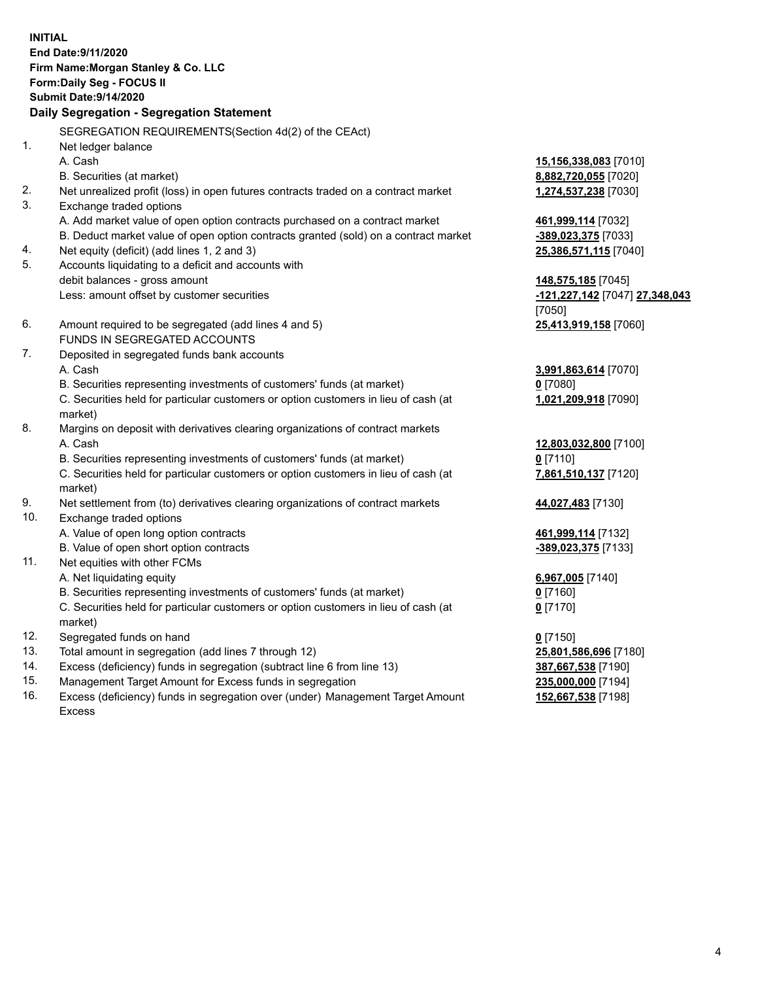**INITIAL End Date:9/11/2020 Firm Name:Morgan Stanley & Co. LLC Form:Daily Seg - FOCUS II Submit Date:9/14/2020 Daily Segregation - Segregation Statement** SEGREGATION REQUIREMENTS(Section 4d(2) of the CEAct) 1. Net ledger balance A. Cash **15,156,338,083** [7010] B. Securities (at market) **8,882,720,055** [7020] 2. Net unrealized profit (loss) in open futures contracts traded on a contract market **1,274,537,238** [7030] 3. Exchange traded options A. Add market value of open option contracts purchased on a contract market **461,999,114** [7032] B. Deduct market value of open option contracts granted (sold) on a contract market **-389,023,375** [7033] 4. Net equity (deficit) (add lines 1, 2 and 3) **25,386,571,115** [7040] 5. Accounts liquidating to a deficit and accounts with debit balances - gross amount **148,575,185** [7045] Less: amount offset by customer securities **-121,227,142** [7047] **27,348,043** [7050] 6. Amount required to be segregated (add lines 4 and 5) **25,413,919,158** [7060] FUNDS IN SEGREGATED ACCOUNTS 7. Deposited in segregated funds bank accounts A. Cash **3,991,863,614** [7070] B. Securities representing investments of customers' funds (at market) **0** [7080] C. Securities held for particular customers or option customers in lieu of cash (at market) **1,021,209,918** [7090] 8. Margins on deposit with derivatives clearing organizations of contract markets A. Cash **12,803,032,800** [7100] B. Securities representing investments of customers' funds (at market) **0** [7110] C. Securities held for particular customers or option customers in lieu of cash (at market) **7,861,510,137** [7120] 9. Net settlement from (to) derivatives clearing organizations of contract markets **44,027,483** [7130] 10. Exchange traded options A. Value of open long option contracts **461,999,114** [7132] B. Value of open short option contracts **-389,023,375** [7133] 11. Net equities with other FCMs A. Net liquidating equity **6,967,005** [7140] B. Securities representing investments of customers' funds (at market) **0** [7160] C. Securities held for particular customers or option customers in lieu of cash (at market) **0** [7170] 12. Segregated funds on hand **0** [7150] 13. Total amount in segregation (add lines 7 through 12) **25,801,586,696** [7180] 14. Excess (deficiency) funds in segregation (subtract line 6 from line 13) **387,667,538** [7190] 15. Management Target Amount for Excess funds in segregation **235,000,000** [7194]

- 
- 16. Excess (deficiency) funds in segregation over (under) Management Target Amount Excess

**152,667,538** [7198]